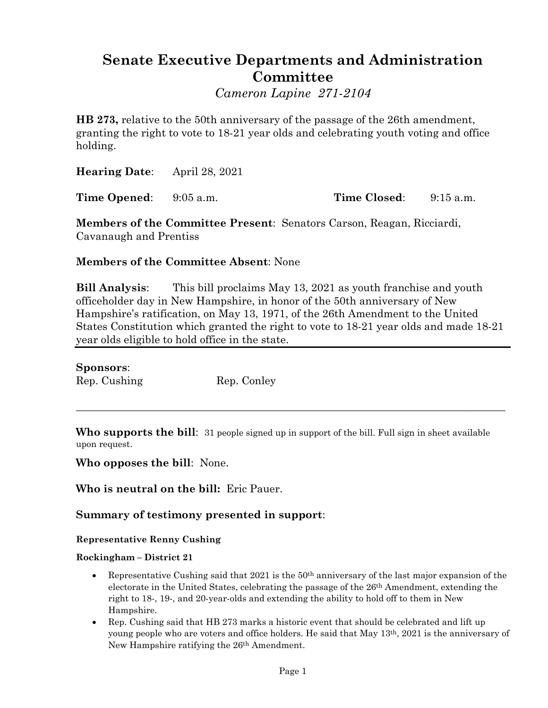# **Senate Executive Departments and Administration Committee**

*Cameron Lapine 271-2104*

**HB 273,** relative to the 50th anniversary of the passage of the 26th amendment, granting the right to vote to 18-21 year olds and celebrating youth voting and office holding.

**Hearing Date**: April 28, 2021

**Time Opened**: 9:05 a.m. **Time Closed**: 9:15 a.m.

**Members of the Committee Present**: Senators Carson, Reagan, Ricciardi, Cavanaugh and Prentiss

# **Members of the Committee Absent**: None

**Bill Analysis**: This bill proclaims May 13, 2021 as youth franchise and youth officeholder day in New Hampshire, in honor of the 50th anniversary of New Hampshire's ratification, on May 13, 1971, of the 26th Amendment to the United States Constitution which granted the right to vote to 18-21 year olds and made 18-21 year olds eligible to hold office in the state.

**Sponsors**: Rep. Cushing Rep. Conley

**Who supports the bill**: 31 people signed up in support of the bill. Full sign in sheet available upon request.

\_\_\_\_\_\_\_\_\_\_\_\_\_\_\_\_\_\_\_\_\_\_\_\_\_\_\_\_\_\_\_\_\_\_\_\_\_\_\_\_\_\_\_\_\_\_\_\_\_\_\_\_\_\_\_\_\_\_\_\_\_\_\_\_\_\_\_\_\_\_\_\_\_\_\_\_\_\_\_\_

**Who opposes the bill**: None.

**Who is neutral on the bill:** Eric Pauer.

**Summary of testimony presented in support**:

## **Representative Renny Cushing**

#### **Rockingham – District 21**

- Representative Cushing said that 2021 is the 50th anniversary of the last major expansion of the electorate in the United States, celebrating the passage of the 26th Amendment, extending the right to 18-, 19-, and 20-year-olds and extending the ability to hold off to them in New Hampshire.
- Rep. Cushing said that HB 273 marks a historic event that should be celebrated and lift up young people who are voters and office holders. He said that May 13th, 2021 is the anniversary of New Hampshire ratifying the 26th Amendment.